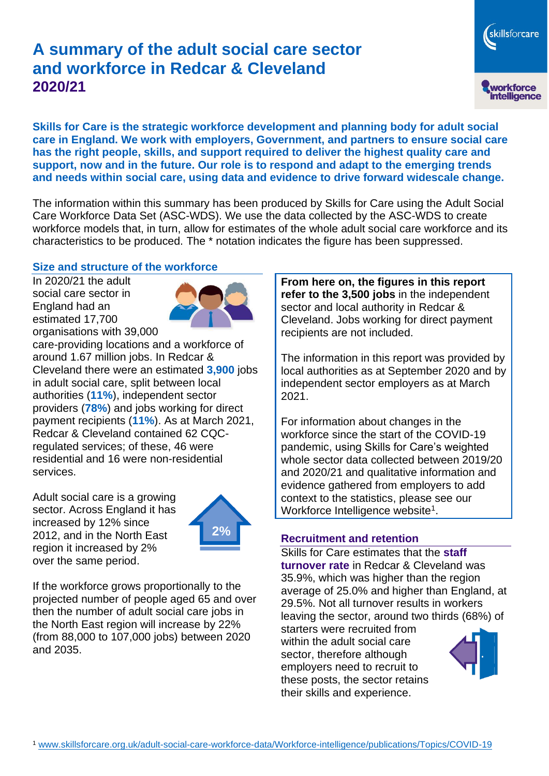# **A summary of the adult social care sector and workforce in Redcar & Cleveland 2020/21**

skillsforcare workforce<br>intelligence

**Skills for Care is the strategic workforce development and planning body for adult social care in England. We work with employers, Government, and partners to ensure social care has the right people, skills, and support required to deliver the highest quality care and support, now and in the future. Our role is to respond and adapt to the emerging trends and needs within social care, using data and evidence to drive forward widescale change.**

The information within this summary has been produced by Skills for Care using the Adult Social Care Workforce Data Set (ASC-WDS). We use the data collected by the ASC-WDS to create workforce models that, in turn, allow for estimates of the whole adult social care workforce and its characteristics to be produced. The \* notation indicates the figure has been suppressed.

#### **Size and structure of the workforce**

In 2020/21 the adult social care sector in England had an estimated 17,700 organisations with 39,000



care-providing locations and a workforce of around 1.67 million jobs. In Redcar & Cleveland there were an estimated **3,900** jobs in adult social care, split between local authorities (**11%**), independent sector providers (**78%**) and jobs working for direct payment recipients (**11%**). As at March 2021, Redcar & Cleveland contained 62 CQCregulated services; of these, 46 were residential and 16 were non-residential services.

Adult social care is a growing sector. Across England it has increased by 12% since 2012, and in the North East region it increased by 2% over the same period.



If the workforce grows proportionally to the projected number of people aged 65 and over then the number of adult social care jobs in the North East region will increase by 22% (from 88,000 to 107,000 jobs) between 2020 and 2035.

**From here on, the figures in this report refer to the 3,500 jobs** in the independent sector and local authority in Redcar & Cleveland. Jobs working for direct payment recipients are not included.

The information in this report was provided by local authorities as at September 2020 and by independent sector employers as at March 2021.

For information about changes in the workforce since the start of the COVID-19 pandemic, using Skills for Care's weighted whole sector data collected between 2019/20 and 2020/21 and qualitative information and evidence gathered from employers to add context to the statistics, please see our Workforce Intelligence website<sup>1</sup>.

### **Recruitment and retention**

Skills for Care estimates that the **staff turnover rate** in Redcar & Cleveland was 35.9%, which was higher than the region average of 25.0% and higher than England, at 29.5%. Not all turnover results in workers leaving the sector, around two thirds (68%) of

starters were recruited from within the adult social care sector, therefore although employers need to recruit to these posts, the sector retains their skills and experience.

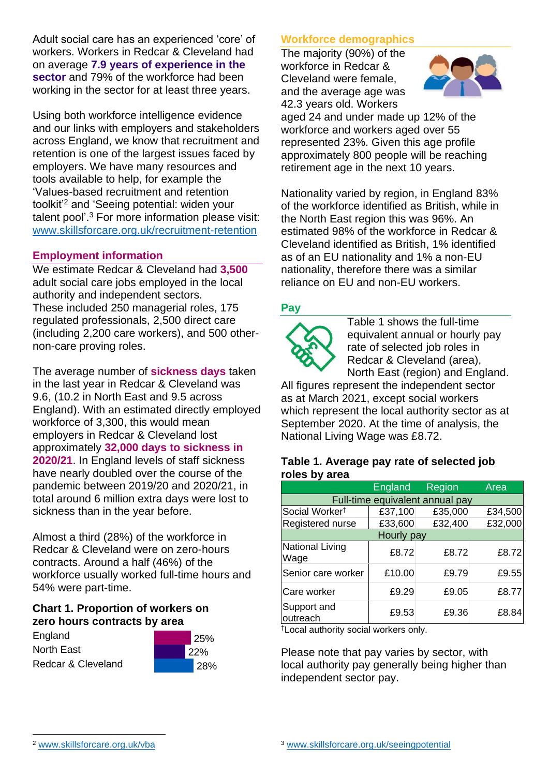Adult social care has an experienced 'core' of workers. Workers in Redcar & Cleveland had on average **7.9 years of experience in the sector** and 79% of the workforce had been working in the sector for at least three years.

Using both workforce intelligence evidence and our links with employers and stakeholders across England, we know that recruitment and retention is one of the largest issues faced by employers. We have many resources and tools available to help, for example the 'Values-based recruitment and retention toolkit'<sup>2</sup> and 'Seeing potential: widen your talent pool'. <sup>3</sup> For more information please visit: [www.skillsforcare.org.uk/recruitment-retention](http://www.skillsforcare.org.uk/recruitment-retention)

#### **Employment information**

We estimate Redcar & Cleveland had **3,500** adult social care jobs employed in the local authority and independent sectors. These included 250 managerial roles, 175 regulated professionals, 2,500 direct care (including 2,200 care workers), and 500 othernon-care proving roles.

The average number of **sickness days** taken in the last year in Redcar & Cleveland was 9.6, (10.2 in North East and 9.5 across England). With an estimated directly employed workforce of 3,300, this would mean employers in Redcar & Cleveland lost approximately **32,000 days to sickness in 2020/21**. In England levels of staff sickness have nearly doubled over the course of the pandemic between 2019/20 and 2020/21, in total around 6 million extra days were lost to sickness than in the year before.

Almost a third (28%) of the workforce in Redcar & Cleveland were on zero-hours contracts. Around a half (46%) of the workforce usually worked full-time hours and 54% were part-time.

#### **Chart 1. Proportion of workers on zero hours contracts by area**

| England            |  |
|--------------------|--|
| North East         |  |
| Redcar & Cleveland |  |



#### **Workforce demographics**

The majority (90%) of the workforce in Redcar & Cleveland were female, and the average age was 42.3 years old. Workers



aged 24 and under made up 12% of the workforce and workers aged over 55 represented 23%. Given this age profile approximately 800 people will be reaching retirement age in the next 10 years.

Nationality varied by region, in England 83% of the workforce identified as British, while in the North East region this was 96%. An estimated 98% of the workforce in Redcar & Cleveland identified as British, 1% identified as of an EU nationality and 1% a non-EU nationality, therefore there was a similar reliance on EU and non-EU workers.

#### **Pay**



Table 1 shows the full-time equivalent annual or hourly pay rate of selected job roles in Redcar & Cleveland (area), North East (region) and England.

All figures represent the independent sector as at March 2021, except social workers which represent the local authority sector as at September 2020. At the time of analysis, the National Living Wage was £8.72.

#### **Table 1. Average pay rate of selected job roles by area**

|                                 | <b>England</b> | <b>Region</b> | Area    |  |
|---------------------------------|----------------|---------------|---------|--|
| Full-time equivalent annual pay |                |               |         |  |
| Social Worker <sup>t</sup>      | £37,100        | £35,000       | £34,500 |  |
| Registered nurse                | £33,600        | £32,400       | £32,000 |  |
| Hourly pay                      |                |               |         |  |
| National Living<br>Wage         | £8.72          | £8.72         | £8.72   |  |
| Senior care worker              | £10.00         | £9.79         | £9.55   |  |
| Care worker                     | £9.29          | £9.05         | £8.77   |  |
| Support and<br>outreach         | £9.53          | £9.36         | £8.84   |  |

†Local authority social workers only.

Please note that pay varies by sector, with local authority pay generally being higher than independent sector pay.

[www.skillsforcare.org.uk/vba](http://www.skillsforcare.org.uk/vba)